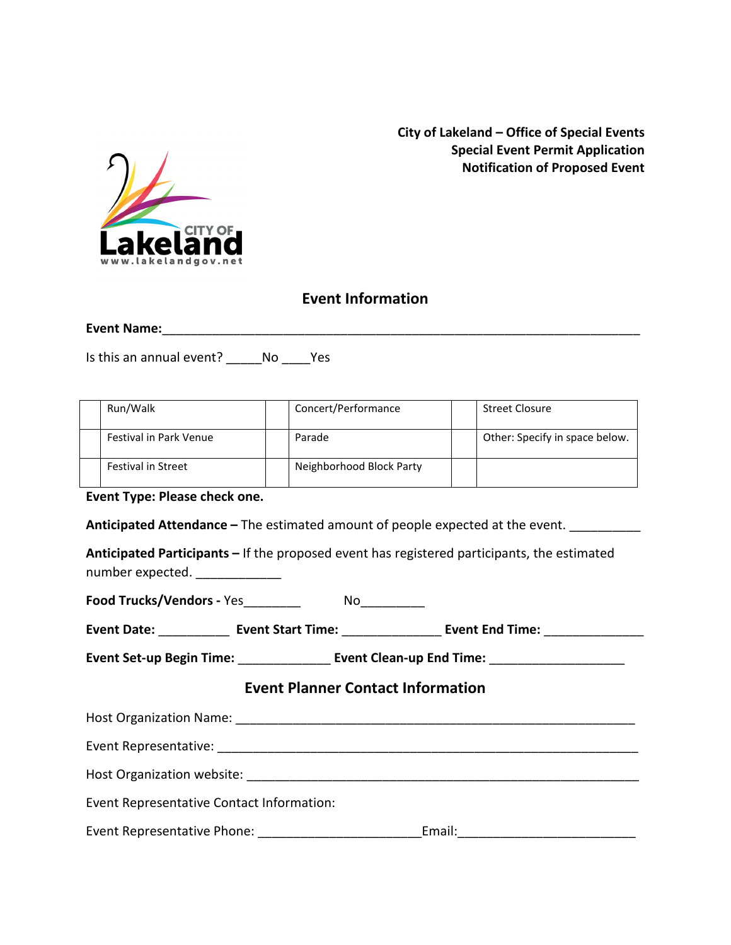

**City of Lakeland – Office of Special Events Special Event Permit Application Notification of Proposed Event**

### **Event Information**

**Event Name:**\_\_\_\_\_\_\_\_\_\_\_\_\_\_\_\_\_\_\_\_\_\_\_\_\_\_\_\_\_\_\_\_\_\_\_\_\_\_\_\_\_\_\_\_\_\_\_\_\_\_\_\_\_\_\_\_\_\_\_\_\_\_\_\_\_\_\_

Is this an annual event? \_\_\_\_\_No \_\_\_\_Yes

| Run/Walk                      | Concert/Performance      | Street Closure                 |
|-------------------------------|--------------------------|--------------------------------|
| <b>Festival in Park Venue</b> | Parade                   | Other: Specify in space below. |
| <b>Festival in Street</b>     | Neighborhood Block Party |                                |

**Event Type: Please check one.**

Anticipated Attendance – The estimated amount of people expected at the event.

**Anticipated Participants –** If the proposed event has registered participants, the estimated number expected. \_\_\_\_\_\_\_\_\_\_\_\_\_\_

**Food Trucks/Vendors -** Yes\_\_\_\_\_\_\_\_\_\_\_\_ No\_\_\_\_\_\_\_\_\_

| <b>Event Date:</b> | <b>Event Start Time:</b> | <b>Event End Time:</b> |  |
|--------------------|--------------------------|------------------------|--|
|                    |                          |                        |  |

**Event Set-up Begin Time:** \_\_\_\_\_\_\_\_\_\_\_\_\_ **Event Clean-up End Time:** \_\_\_\_\_\_\_\_\_\_\_\_\_\_\_\_\_\_\_

#### **Event Planner Contact Information**

| Host Organization Name:                   |        |  |  |  |  |
|-------------------------------------------|--------|--|--|--|--|
| Event Representative:                     |        |  |  |  |  |
| Host Organization website:                |        |  |  |  |  |
| Event Representative Contact Information: |        |  |  |  |  |
| Event Representative Phone:               | Email: |  |  |  |  |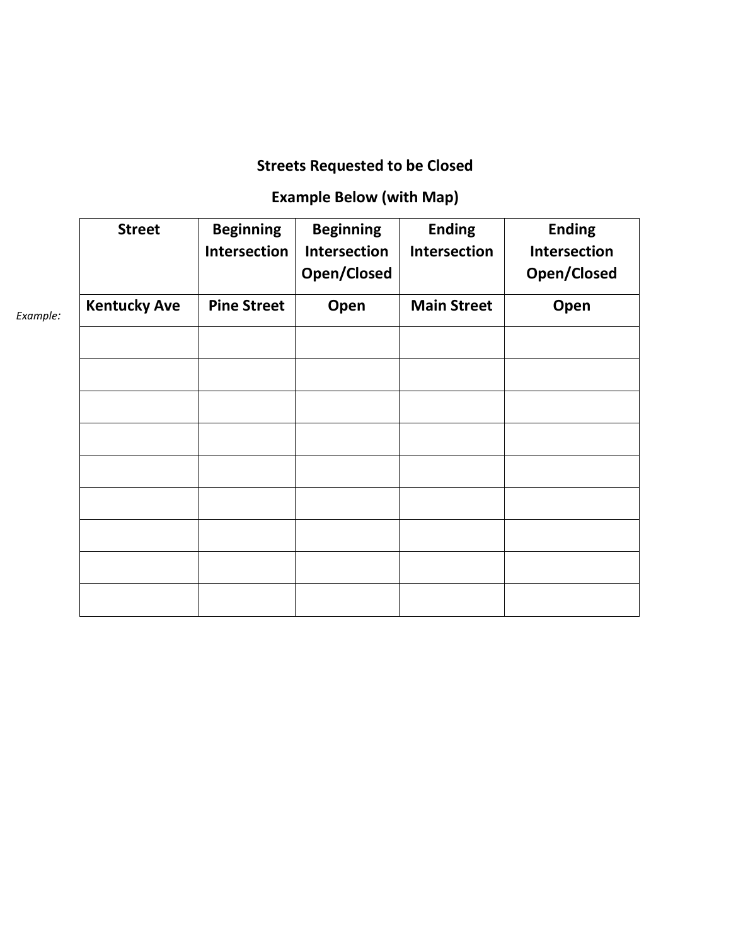# **Streets Requested to be Closed**

## **Example Below (with Map)**

|          | <b>Street</b>       | <b>Beginning</b><br>Intersection | <b>Beginning</b><br><b>Intersection</b><br>Open/Closed | <b>Ending</b><br>Intersection | <b>Ending</b><br><b>Intersection</b><br>Open/Closed |
|----------|---------------------|----------------------------------|--------------------------------------------------------|-------------------------------|-----------------------------------------------------|
| Example: | <b>Kentucky Ave</b> | <b>Pine Street</b>               | Open                                                   | <b>Main Street</b>            | Open                                                |
|          |                     |                                  |                                                        |                               |                                                     |
|          |                     |                                  |                                                        |                               |                                                     |
|          |                     |                                  |                                                        |                               |                                                     |
|          |                     |                                  |                                                        |                               |                                                     |
|          |                     |                                  |                                                        |                               |                                                     |
|          |                     |                                  |                                                        |                               |                                                     |
|          |                     |                                  |                                                        |                               |                                                     |
|          |                     |                                  |                                                        |                               |                                                     |
|          |                     |                                  |                                                        |                               |                                                     |